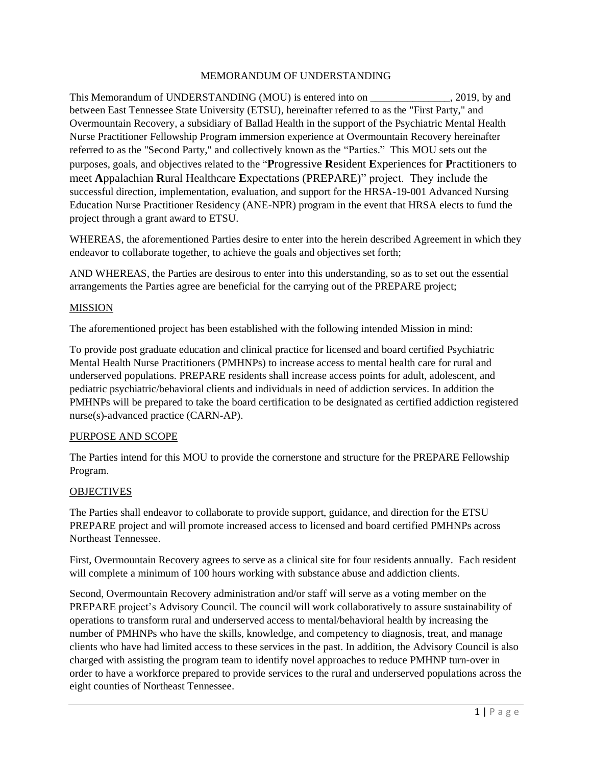## MEMORANDUM OF UNDERSTANDING

This Memorandum of UNDERSTANDING (MOU) is entered into on \_\_\_\_\_\_\_\_\_\_\_\_\_\_\_, 2019, by and between East Tennessee State University (ETSU), hereinafter referred to as the "First Party," and Overmountain Recovery, a subsidiary of Ballad Health in the support of the Psychiatric Mental Health Nurse Practitioner Fellowship Program immersion experience at Overmountain Recovery hereinafter referred to as the "Second Party," and collectively known as the "Parties." This MOU sets out the purposes, goals, and objectives related to the "**P**rogressive **R**esident **E**xperiences for **P**ractitioners to meet **A**ppalachian **R**ural Healthcare **E**xpectations (PREPARE)" project. They include the successful direction, implementation, evaluation, and support for the HRSA-19-001 Advanced Nursing Education Nurse Practitioner Residency (ANE-NPR) program in the event that HRSA elects to fund the project through a grant award to ETSU.

WHEREAS, the aforementioned Parties desire to enter into the herein described Agreement in which they endeavor to collaborate together, to achieve the goals and objectives set forth;

AND WHEREAS, the Parties are desirous to enter into this understanding, so as to set out the essential arrangements the Parties agree are beneficial for the carrying out of the PREPARE project;

### MISSION

The aforementioned project has been established with the following intended Mission in mind:

To provide post graduate education and clinical practice for licensed and board certified Psychiatric Mental Health Nurse Practitioners (PMHNPs) to increase access to mental health care for rural and underserved populations. PREPARE residents shall increase access points for adult, adolescent, and pediatric psychiatric/behavioral clients and individuals in need of addiction services. In addition the PMHNPs will be prepared to take the board certification to be designated as certified addiction registered nurse(s)-advanced practice (CARN-AP).

### PURPOSE AND SCOPE

The Parties intend for this MOU to provide the cornerstone and structure for the PREPARE Fellowship Program.

### **OBJECTIVES**

The Parties shall endeavor to collaborate to provide support, guidance, and direction for the ETSU PREPARE project and will promote increased access to licensed and board certified PMHNPs across Northeast Tennessee.

First, Overmountain Recovery agrees to serve as a clinical site for four residents annually. Each resident will complete a minimum of 100 hours working with substance abuse and addiction clients.

Second, Overmountain Recovery administration and/or staff will serve as a voting member on the PREPARE project's Advisory Council. The council will work collaboratively to assure sustainability of operations to transform rural and underserved access to mental/behavioral health by increasing the number of PMHNPs who have the skills, knowledge, and competency to diagnosis, treat, and manage clients who have had limited access to these services in the past. In addition, the Advisory Council is also charged with assisting the program team to identify novel approaches to reduce PMHNP turn-over in order to have a workforce prepared to provide services to the rural and underserved populations across the eight counties of Northeast Tennessee.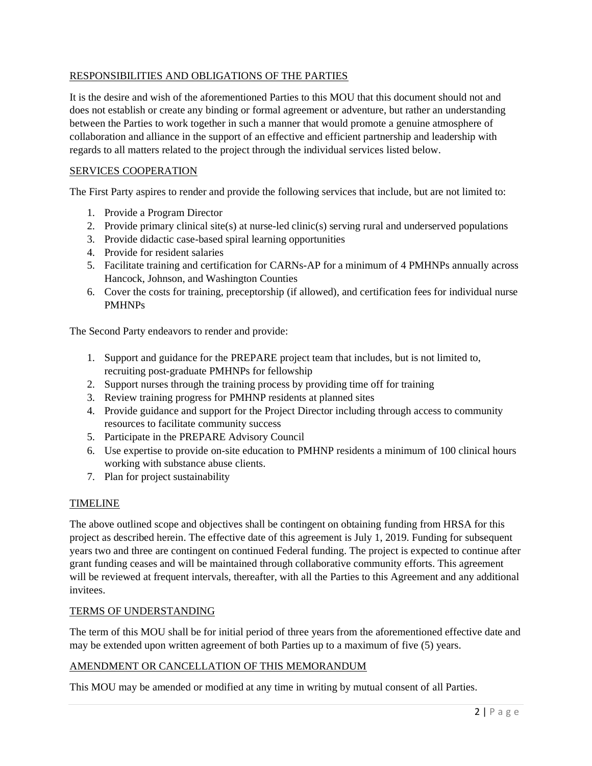## RESPONSIBILITIES AND OBLIGATIONS OF THE PARTIES

It is the desire and wish of the aforementioned Parties to this MOU that this document should not and does not establish or create any binding or formal agreement or adventure, but rather an understanding between the Parties to work together in such a manner that would promote a genuine atmosphere of collaboration and alliance in the support of an effective and efficient partnership and leadership with regards to all matters related to the project through the individual services listed below.

## SERVICES COOPERATION

The First Party aspires to render and provide the following services that include, but are not limited to:

- 1. Provide a Program Director
- 2. Provide primary clinical site(s) at nurse-led clinic(s) serving rural and underserved populations
- 3. Provide didactic case-based spiral learning opportunities
- 4. Provide for resident salaries
- 5. Facilitate training and certification for CARNs-AP for a minimum of 4 PMHNPs annually across Hancock, Johnson, and Washington Counties
- 6. Cover the costs for training, preceptorship (if allowed), and certification fees for individual nurse PMHNPs

The Second Party endeavors to render and provide:

- 1. Support and guidance for the PREPARE project team that includes, but is not limited to, recruiting post-graduate PMHNPs for fellowship
- 2. Support nurses through the training process by providing time off for training
- 3. Review training progress for PMHNP residents at planned sites
- 4. Provide guidance and support for the Project Director including through access to community resources to facilitate community success
- 5. Participate in the PREPARE Advisory Council
- 6. Use expertise to provide on-site education to PMHNP residents a minimum of 100 clinical hours working with substance abuse clients.
- 7. Plan for project sustainability

### TIMELINE

The above outlined scope and objectives shall be contingent on obtaining funding from HRSA for this project as described herein. The effective date of this agreement is July 1, 2019. Funding for subsequent years two and three are contingent on continued Federal funding. The project is expected to continue after grant funding ceases and will be maintained through collaborative community efforts. This agreement will be reviewed at frequent intervals, thereafter, with all the Parties to this Agreement and any additional invitees.

## TERMS OF UNDERSTANDING

The term of this MOU shall be for initial period of three years from the aforementioned effective date and may be extended upon written agreement of both Parties up to a maximum of five (5) years.

### AMENDMENT OR CANCELLATION OF THIS MEMORANDUM

This MOU may be amended or modified at any time in writing by mutual consent of all Parties.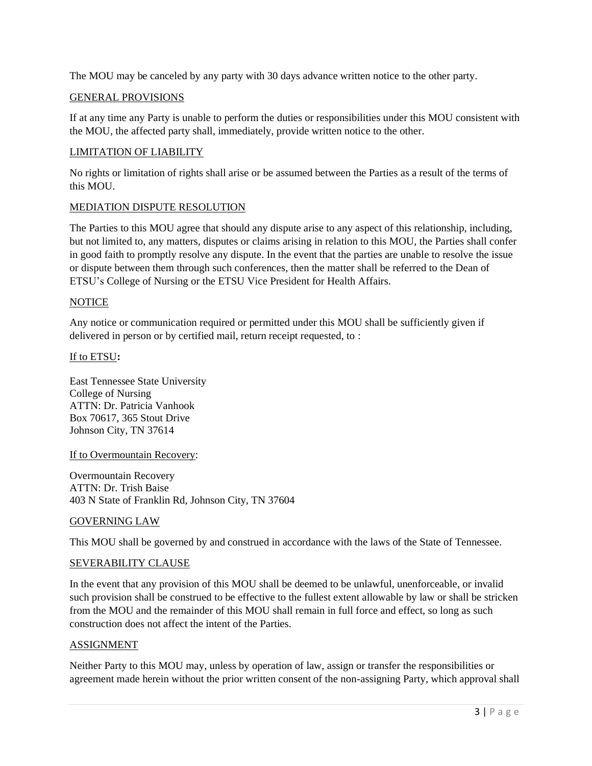The MOU may be canceled by any party with 30 days advance written notice to the other party.

#### GENERAL PROVISIONS

If at any time any Party is unable to perform the duties or responsibilities under this MOU consistent with the MOU, the affected party shall, immediately, provide written notice to the other.

# LIMITATION OF LIABILITY

No rights or limitation of rights shall arise or be assumed between the Parties as a result of the terms of this MOU.

### MEDIATION DISPUTE RESOLUTION

The Parties to this MOU agree that should any dispute arise to any aspect of this relationship, including, but not limited to, any matters, disputes or claims arising in relation to this MOU, the Parties shall confer in good faith to promptly resolve any dispute. In the event that the parties are unable to resolve the issue or dispute between them through such conferences, then the matter shall be referred to the Dean of ETSU's College of Nursing or the ETSU Vice President for Health Affairs.

### **NOTICE**

Any notice or communication required or permitted under this MOU shall be sufficiently given if delivered in person or by certified mail, return receipt requested, to :

### If to ETSU**:**

East Tennessee State University College of Nursing ATTN: Dr. Patricia Vanhook Box 70617, 365 Stout Drive Johnson City, TN 37614

### If to Overmountain Recovery:

Overmountain Recovery ATTN: Dr. Trish Baise 403 N State of Franklin Rd, Johnson City, TN 37604

### GOVERNING LAW

This MOU shall be governed by and construed in accordance with the laws of the State of Tennessee.

### SEVERABILITY CLAUSE

In the event that any provision of this MOU shall be deemed to be unlawful, unenforceable, or invalid such provision shall be construed to be effective to the fullest extent allowable by law or shall be stricken from the MOU and the remainder of this MOU shall remain in full force and effect, so long as such construction does not affect the intent of the Parties.

### ASSIGNMENT

Neither Party to this MOU may, unless by operation of law, assign or transfer the responsibilities or agreement made herein without the prior written consent of the non-assigning Party, which approval shall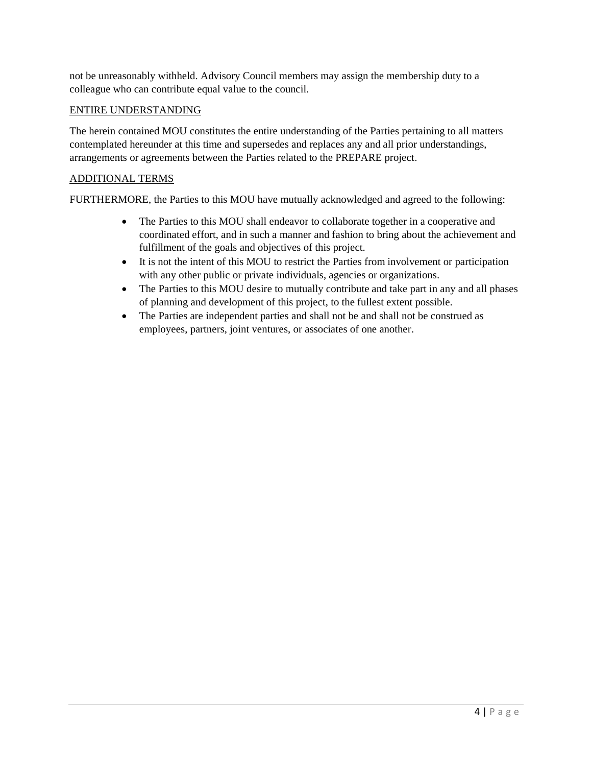not be unreasonably withheld. Advisory Council members may assign the membership duty to a colleague who can contribute equal value to the council.

## ENTIRE UNDERSTANDING

The herein contained MOU constitutes the entire understanding of the Parties pertaining to all matters contemplated hereunder at this time and supersedes and replaces any and all prior understandings, arrangements or agreements between the Parties related to the PREPARE project.

# ADDITIONAL TERMS

FURTHERMORE, the Parties to this MOU have mutually acknowledged and agreed to the following:

- The Parties to this MOU shall endeavor to collaborate together in a cooperative and coordinated effort, and in such a manner and fashion to bring about the achievement and fulfillment of the goals and objectives of this project.
- It is not the intent of this MOU to restrict the Parties from involvement or participation with any other public or private individuals, agencies or organizations.
- The Parties to this MOU desire to mutually contribute and take part in any and all phases of planning and development of this project, to the fullest extent possible.
- The Parties are independent parties and shall not be and shall not be construed as employees, partners, joint ventures, or associates of one another.